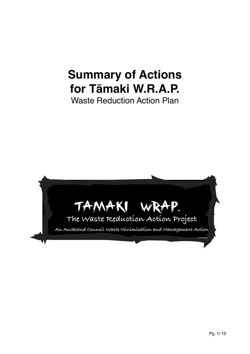# **Summary of Actions for Tāmaki W.R.A.P.**

Waste Reduction Action Plan

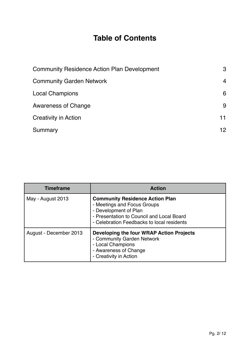# **Table of Contents**

| <b>Community Residence Action Plan Development</b> | 3              |
|----------------------------------------------------|----------------|
| <b>Community Garden Network</b>                    | $\overline{4}$ |
| <b>Local Champions</b>                             | 6              |
| <b>Awareness of Change</b>                         | 9              |
| <b>Creativity in Action</b>                        | 11             |
| Summary                                            | 12             |

| <b>Timeframe</b>       | <b>Action</b>                                                                                                                                                                             |
|------------------------|-------------------------------------------------------------------------------------------------------------------------------------------------------------------------------------------|
| May - August 2013      | <b>Community Residence Action Plan</b><br>- Meetings and Focus Groups<br>- Development of Plan<br>- Presentation to Council and Local Board<br>- Celebration Feedbacks to local residents |
| August - December 2013 | Developing the four WRAP Action Projects<br>- Community Garden Network<br>- Local Champions<br>- Awareness of Change<br>- Creativity in Action                                            |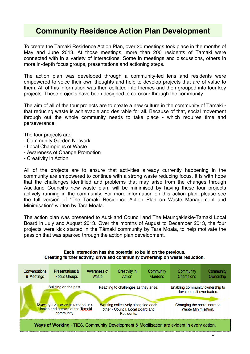# **Community Residence Action Plan Development**

<span id="page-2-0"></span>To create the Tāmaki Residence Action Plan, over 20 meetings took place in the months of May and June 2013. At those meetings, more than 200 residents of Tāmaki were connected with in a variety of interactions. Some in meetings and discussions, others in more in-depth focus groups, presentations and actioning steps.

The action plan was developed through a community-led lens and residents were empowered to voice their own thoughts and help to develop projects that are of value to them. All of this information was then collated into themes and then grouped into four key projects. These projects have been designed to co-occur through the community.

The aim of all of the four projects are to create a new culture in the community of Tāmaki that reducing waste is achievable and desirable for all. Because of that, social movement through out the whole community needs to take place - which requires time and perseverance.

The four projects are:

- Community Garden Network
- Local Champions of Waste
- Awareness of Change Promotion
- Creativity in Action

All of the projects are to ensure that activities already currently happening in the community are empowered to continue with a strong waste reducing focus. It is with hope that the challenges identified and problems that may arise from the changes through Auckland Council's new waste plan, will be minimised by having these four projects actively running in the community. For more information on this action plan, please see the full version of "The Tāmaki Residence Action Plan on Waste Management and Minimisation" written by Tara Moala.

The action plan was presented to Auckland Council and The Maungakiekie-Tāmaki Local Board in July and August 2013. Over the months of August to December 2013, the four projects were kick started in the Tāmaki community by Tara Moala, to help motivate the passion that was sparked through the action plan development.

#### Each interaction has the potential to build on the previous. Creating further activity, drive and community ownership on waste reduction.

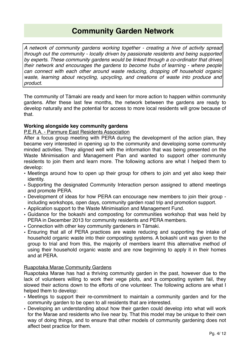# **Community Garden Network**

*A network of community gardens working together - creating a hive of activity spread through out the community - locally driven by passionate residents and being supported by experts. These community gardens would be linked through a co-ordinator that drives their network and encourages the gardens to become hubs of learning - where people can connect with each other around waste reducing, dropping off household organic waste, learning about recycling, upcycling, and creations of waste into produce and product.* 

<span id="page-3-0"></span>The community of Tāmaki are ready and keen for more action to happen within community gardens. After these last few months, the network between the gardens are ready to develop naturally and the potential for access to more local residents will grow because of that.

#### **Working alongside key community gardens**

P.E.R.A. - Panmure East Residents Association

After a focus group meeting with PERA during the development of the action plan, they became very interested in opening up to the community and developing some community minded activities. They aligned well with the information that was being presented on the Waste Minimisation and Management Plan and wanted to support other community residents to join them and learn more. The following actions are what I helped them to develop:

- Meetings around how to open up their group for others to join and yet also keep their identity.
- Supporting the designated Community Interaction person assigned to attend meetings and promote PERA.
- Development of ideas for how PERA can encourage new members to join their group including workshops, open days, community garden road trip and promotion support.
- Application support to the Waste Minimisation and Management Fund.
- Guidance for the bokashi and composting for communities workshop that was held by PERA in December 2013 for community residents and PERA members.
- Connection with other key community gardeners in Tāmaki.
- Ensuring that all of PERA practices are waste reducing and supporting the intake of household organic waste into their composting systems. A bokashi unit was given to the group to trial and from this, the majority of members learnt this alternative method of using their household organic waste and are now beginning to apply it in their homes and at PERA.

#### Ruapotaka Marae Community Gardens

Ruapotaka Marae has had a thriving community garden in the past, however due to the lack of volunteers willing to work their vege plots, and a composting system fail, they slowed their actions down to the efforts of one volunteer. The following actions are what I helped them to develop:

- Meetings to support their re-commitment to maintain a community garden and for the community garden to be open to all residents that are interested.
- Developing an understanding about how their garden could develop into what will work for the Marae and residents who live near by. That this model may be unique to their own way of doing things, and to ensure that other models of community gardening does not affect best practice for them.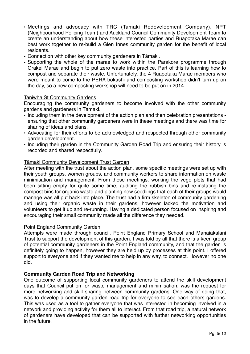- Meetings and advocacy with TRC (Tamaki Redevelopment Company), NPT (Neighbourhood Policing Team) and Auckland Council Community Development Team to create an understanding about how these interested parties and Ruapotaka Marae can best work together to re-build a Glen Innes community garden for the benefit of local residents.
- Connection with other key community gardeners in Tāmaki.
- Supporting the whole of the marae to work within the Parakore programme through Orakei Marae and begin to put zero waste into practice. Part of this is learning how to compost and separate their waste. Unfortunately, the 4 Ruapotaka Marae members who were meant to come to the PERA bokashi and composting workshop didn't turn up on the day, so a new composting workshop will need to be put on in 2014.

#### Taniwha St Community Gardens

Encouraging the community gardeners to become involved with the other community gardens and gardeners in Tāmaki.

- Including them in the development of the action plan and then celebration presentations ensuring that other community gardeners were in these meetings and there was time for sharing of ideas and plans.
- Advocating for their efforts to be acknowledged and respected through other community garden development.
- Including their garden in the Community Garden Road Trip and ensuring their history is recorded and shared respectfully.

#### Tāmaki Community Development Trust Garden

After meeting with the trust about the action plan, some specific meetings were set up with their youth groups, women groups, and community workers to share information on waste minimisation and management. From these meetings, working the vege plots that had been sitting empty for quite some time, auditing the rubbish bins and re-instating the compost bins for organic waste and planting new seedlings that each of their groups would manage was all put back into place. The trust had a firm skeleton of community gardening and using their organic waste in their gardens, however lacked the motivation and volunteers to get it up and re-running. Having a dedicated person focused on inspiring and encouraging their small community made all the difference they needed.

#### Point England Community Garden

Attempts were made through council, Point England Primary School and Manaiakalani Trust to support the development of this garden. I was told by all that there is a keen group of potential community gardeners in the Point England community, and that the garden is definitely going to happen, however they are held up by processes at this point. I offered support to everyone and if they wanted me to help in any way, to connect. However no one did.

#### **Community Garden Road Trip and Networking**

One outcome of supporting local community gardeners to attend the skill development days that Council put on for waste management and minimisation, was the request for more networking and skill sharing between community gardens. One way of doing that, was to develop a community garden road trip for everyone to see each others gardens. This was used as a tool to gather everyone that was interested in becoming involved in a network and providing activity for them all to interact. From that road trip, a natural network of gardeners have developed that can be supported with further networking opportunities in the future.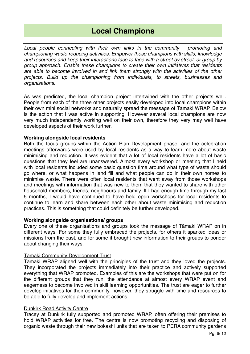# **Local Champions**

*Local people connecting with their own links in the community - promoting and championing waste reducing activities. Empower these champions with skills, knowledge and resources and keep their interactions face to face with a street by street, or group by group approach. Enable these champions to create their own initiatives that residents are able to become involved in and link them strongly with the activities of the other projects. Build up the championing from individuals, to streets, businesses and organisations.* 

<span id="page-5-0"></span>As was predicted, the local champion project intertwined with the other projects well. People from each of the three other projects easily developed into local champions within their own mini social networks and naturally spread the message of Tāmaki WRAP. Below is the action that I was active in supporting. However several local champions are now very much independently working well on their own, therefore they very may well have developed aspects of their work further.

#### **Working alongside local residents**

Both the focus groups within the Action Plan Development phase, and the celebration meetings afterwards were used by local residents as a way to learn more about waste minimising and reduction. It was evident that a lot of local residents have a lot of basic questions that they feel are unanswered. Almost every workshop or meeting that I held with local residents included some basic question time around what type of waste should go where, or what happens in land fill and what people can do in their own homes to minimise waste. There were often local residents that went away from those workshops and meetings with information that was new to them that they wanted to share with other household members, friends, neighbours and family. If I had enough time through my last 5 months, I would have continued to have held open workshops for local residents to continue to learn and share between each other about waste minimising and reduction practices. This is something that could definitely be further developed.

#### **Working alongside organisations/ groups**

Every one of these organisations and groups took the message of Tāmaki WRAP on in different ways. For some they fully embraced the projects, for others it sparked ideas or missions from the past, and for some it brought new information to their groups to ponder about changing their ways.

#### Tāmaki Community Development Trust

Tāmaki WRAP aligned well with the principles of the trust and they loved the projects. They incorporated the projects immediately into their practice and actively supported everything that WRAP promoted. Examples of this are the workshops that were put on for the different groups that they run, the attendance at almost every WRAP event and eagerness to become involved in skill learning opportunities. The trust are eager to further develop initiatives for their community, however, they struggle with time and resources to be able to fully develop and implement actions.

#### Dunkirk Road Activity Centre

Tracey at Dunkirk fully supported and promoted WRAP, often offering their premises to hold WRAP activities for free. The centre is now promoting recycling and disposing of organic waste through their new bokashi units that are taken to PERA community gardens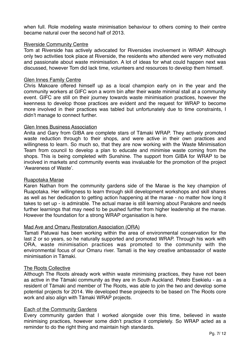when full. Role modeling waste minimisation behaviour to others coming to their centre became natural over the second half of 2013.

#### Riverside Community Centre

Tom at Riverside has actively advocated for Riversides involvement in WRAP. Although only two activities took place at Riverside, the residents who attended were very motivated and passionate about waste minimisation. A lot of ideas for what could happen next was discussed, however Tom did lack time, volunteers and resources to develop them himself.

#### Glen Innes Family Centre

Chris Makoare offered himself up as a local champion early on in the year and the community workers at GIFC won a worm bin after their waste minimal stall at a community event. GIFC are still on their journey towards waste minimisation practices, however the keenness to develop those practices are evident and the request for WRAP to become more involved in their practices was tabled but unfortunately due to time constraints, I didn't manage to connect further.

#### Glen Innes Business Association

Anita and Gary from GIBA are complete stars of Tāmaki WRAP. They actively promoted waste reduction through to their shops, and were active in their own practices and willingness to learn. So much so, that they are now working with the Waste Minimisation Team from council to develop a plan to educate and minimise waste coming from the shops. This is being completed with Sunshine. The support from GIBA for WRAP to be involved in markets and community events was invaluable for the promotion of the project ʻAwareness of Waste'.

#### Ruapotaka Marae

Karen Nathan from the community gardens side of the Marae is the key champion of Ruapotaka. Her willingness to learn through skill development workshops and skill shares as well as her dedication to getting action happening at the marae - no matter how long it takes to set up - is admirable. The actual marae is still learning about Parakore and needs further learnings that may need to be pushed further from higher leadership at the marae. However the foundation for a strong WRAP organisation is here.

#### Mad Ave and Omaru Restoration Association (ORA)

Tamati Patuwai has been working within the area of environmental conservation for the last 2 or so years, so he naturally supported and promoted WRAP. Through his work with ORA, waste minimisation practices was promoted to the community with the environmental focus of our Omaru river. Tamati is the key creative ambassador of waste minimisation in Tāmaki.

#### The Roots Collective

Although The Roots already work within waste minimising practices, they have not been as active in the Tāmaki community as they are in South Auckland. Petelo Esekielu - as a resident of Tāmaki and member of The Roots, was able to join the two and develop some potential projects for 2014. We developed these projeects to be based on The Roots core work and also align with Tāmaki WRAP projects.

#### Each of the Community Gardens

Every community garden that I worked alongside over this time, believed in waste minimising practices, however some didn't practice it completely. So WRAP acted as a reminder to do the right thing and maintain high standards.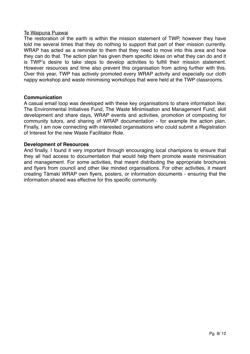#### Te Waipuna Puawai

The restoration of the earth is within the mission statement of TWP, however they have told me several times that they do nothing to support that part of their mission currently. WRAP has acted as a reminder to them that they need to move into this area and how they can do that. The action plan has given them specific ideas on what they can do and it is TWP's desire to take steps to develop activities to fulfill their mission statement. However resources and time also prevent this organisation from acting further with this. Over this year, TWP has actively promoted every WRAP activity and especially our cloth nappy workshop and waste minimising workshops that were held at the TWP classrooms.

#### **Communication**

A casual email loop was developed with these key organisations to share information like; The Environmental Initiatives Fund, The Waste Minimisation and Management Fund, skill development and share days, WRAP events and activities, promotion of composting for community tutors, and sharing of WRAP documentation - for example the action plan. Finally, I am now connecting with interested organisations who could submit a Registration of Interest for the new Waste Facilitator Role.

#### **Development of Resources**

And finally, I found it very important through encouraging local champions to ensure that they all had access to documentation that would help them promote waste minimisation and management. For some activities, that meant distributing the appropriate brochures and flyers from council and other like minded organisations. For other activities, it meant creating Tāmaki WRAP own flyers, posters, or information documents - ensuring that the information shared was effective for this specific community.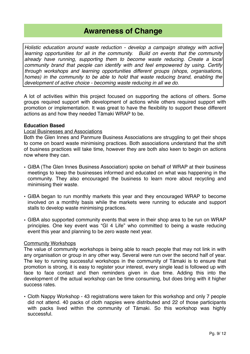# **Awareness of Change**

*Holistic education around waste reduction - develop a campaign strategy with active learning opportunities for all in the community. Build on events that the community already have running, supporting them to become waste reducing. Create a local community brand that people can identify with and feel empowered by using. Certify through workshops and learning opportunities different groups (shops, organisations, homes) in the community to be able to hold that waste reducing brand, enabling the development of active choice - becoming waste reducing in all we do.* 

<span id="page-8-0"></span>A lot of activities within this project focused on supporting the actions of others. Some groups required support with development of actions while others required support with promotion or implementation. It was great to have the flexibility to support these different actions as and how they needed Tāmaki WRAP to be.

#### **Education Based**

#### Local Businesses and Associations

Both the Glen Innes and Panmure Business Associations are struggling to get their shops to come on board waste minimising practices. Both associations understand that the shift of business practices will take time, however they are both also keen to begin on actions now where they can.

- GIBA (The Glen Innes Business Association) spoke on behalf of WRAP at their business meetings to keep the businesses informed and educated on what was happening in the community. They also encouraged the business to learn more about recycling and minimising their waste.
- GIBA began to run monthly markets this year and they encouraged WRAP to become involved on a monthly basis while the markets were running to educate and support stalls to develop waste minimising practices.
- GIBA also supported community events that were in their shop area to be run on WRAP principles. One key event was "GI 4 Life" who committed to being a waste reducing event this year and planning to be zero waste next year.

#### Community Workshops

The value of community workshops is being able to reach people that may not link in with any organisation or group in any other way. Several were run over the second half of year. The key to running successful workshops in the community of Tāmaki is to ensure that promotion is strong, it is easy to register your interest, every single lead is followed up with face to face contact and then reminders given in due time. Adding this into the development of the actual workshop can be time consuming, but does bring with it higher success rates.

• Cloth Nappy Workshop - 43 registrations were taken for this workshop and only 7 people did not attend. 40 packs of cloth nappies were distributed and 22 of those participants with packs lived within the community of Tāmaki. So this workshop was highly successful.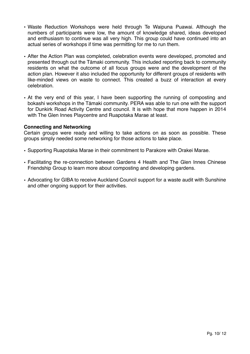- Waste Reduction Workshops were held through Te Waipuna Puawai. Although the numbers of participants were low, the amount of knowledge shared, ideas developed and enthusiasm to continue was all very high. This group could have continued into an actual series of workshops if time was permitting for me to run them.
- After the Action Plan was completed, celebration events were developed, promoted and presented through out the Tāmaki community. This included reporting back to community residents on what the outcome of all focus groups were and the development of the action plan. However it also included the opportunity for different groups of residents with like-minded views on waste to connect. This created a buzz of interaction at every celebration.
- At the very end of this year, I have been supporting the running of composting and bokashi workshops in the Tāmaki community. PERA was able to run one with the support for Dunkirk Road Activity Centre and council. It is with hope that more happen in 2014 with The Glen Innes Playcentre and Ruapotaka Marae at least.

#### **Connecting and Networking**

Certain groups were ready and willing to take actions on as soon as possible. These groups simply needed some networking for those actions to take place.

- Supporting Ruapotaka Marae in their commitment to Parakore with Orakei Marae.
- Facilitating the re-connection between Gardens 4 Health and The Glen Innes Chinese Friendship Group to learn more about composting and developing gardens.
- Advocating for GIBA to receive Auckland Council support for a waste audit with Sunshine and other ongoing support for their activities.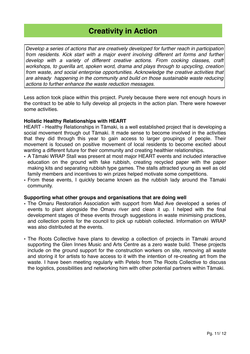# **Creativity in Action**

<span id="page-10-0"></span>*Develop a series of actions that are creatively developed for further reach in participation*  from residents. Kick start with a major event involving different art forms and further develop with a variety of different creative actions. From cooking classes, craft *workshops, to guerilla art, spoken word, drama and plays through to upcycling, creation from waste, and social enterprise opportunities. Acknowledge the creative activities that are already happening in the community and build on those sustainable waste reducing actions to further enhance the waste reduction messages.* 

Less action took place within this project. Purely because there were not enough hours in the contract to be able to fully develop all projects in the action plan. There were however some activities.

#### **Holistic Healthy Relationships with HEART**

HEART - Healthy Relationships in Tāmaki, is a well established project that is developing a social movement through out Tāmaki. It made sense to become involved in the activities that they did through this year to gain access to larger groupings of people. Their movement is focused on positive movement of local residents to become excited about wanting a different future for their community and creating healthier relationships.

- A Tāmaki WRAP Stall was present at most major HEART events and included interactive education on the ground with fake rubbish, creating recycled paper with the paper making kits and separating rubbish type games. The stalls attracted young as well as old family members and incentives to win prizes helped motivate some competitions.
- From these events, I quickly became known as the rubbish lady around the Tāmaki community.

#### **Supporting what other groups and organisations that are doing well**

- The Omaru Restoration Association with support from Mad Ave developed a series of events to plant alongside the Omaru river and clean it up. I helped with the final development stages of these events through suggestions in waste minimising practices, and collection points for the council to pick up rubbish collected. Information on WRAP was also distributed at the events.
- The Roots Collective have plans to develop a collection of projects in Tāmaki around supporting the Glen Innes Music and Arts Centre as a zero waste build. These projects include on the ground support for the construction workers on site, removing all waste and storing it for artists to have access to it with the intention of re-creating art from the waste. I have been meeting regularly with Petelo from The Roots Collective to discuss the logistics, possibilities and networking him with other potential partners within Tāmaki.